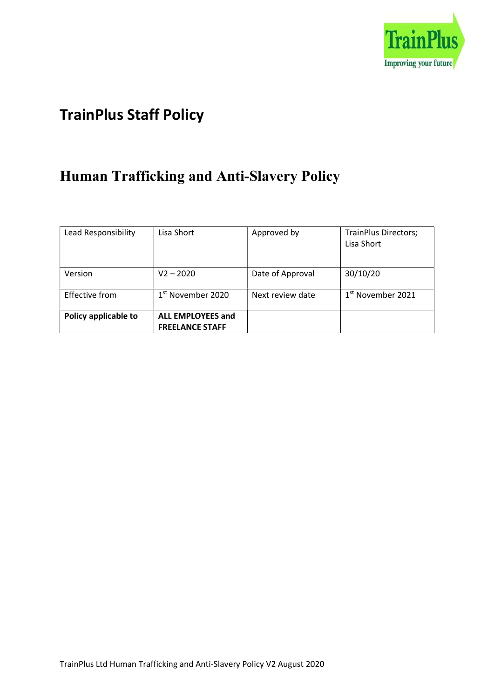

# TrainPlus Staff Policy

# Human Trafficking and Anti-Slavery Policy

| Lead Responsibility   | Lisa Short                                         | Approved by      | <b>TrainPlus Directors;</b><br>Lisa Short |
|-----------------------|----------------------------------------------------|------------------|-------------------------------------------|
|                       |                                                    |                  |                                           |
| Version               | $V2 - 2020$                                        | Date of Approval | 30/10/20                                  |
| <b>Effective from</b> | 1 <sup>st</sup> November 2020                      | Next review date | $1st$ November 2021                       |
| Policy applicable to  | <b>ALL EMPLOYEES and</b><br><b>FREELANCE STAFF</b> |                  |                                           |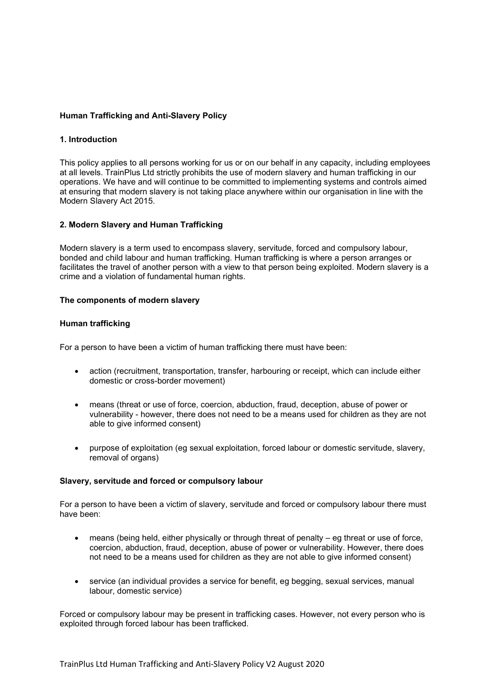## Human Trafficking and Anti-Slavery Policy

### 1. Introduction

This policy applies to all persons working for us or on our behalf in any capacity, including employees at all levels. TrainPlus Ltd strictly prohibits the use of modern slavery and human trafficking in our operations. We have and will continue to be committed to implementing systems and controls aimed at ensuring that modern slavery is not taking place anywhere within our organisation in line with the Modern Slavery Act 2015.

### 2. Modern Slavery and Human Trafficking

Modern slavery is a term used to encompass slavery, servitude, forced and compulsory labour, bonded and child labour and human trafficking. Human trafficking is where a person arranges or facilitates the travel of another person with a view to that person being exploited. Modern slavery is a crime and a violation of fundamental human rights.

#### The components of modern slavery

#### Human trafficking

For a person to have been a victim of human trafficking there must have been:

- action (recruitment, transportation, transfer, harbouring or receipt, which can include either domestic or cross-border movement)
- means (threat or use of force, coercion, abduction, fraud, deception, abuse of power or vulnerability - however, there does not need to be a means used for children as they are not able to give informed consent)
- purpose of exploitation (eg sexual exploitation, forced labour or domestic servitude, slavery, removal of organs)

#### Slavery, servitude and forced or compulsory labour

For a person to have been a victim of slavery, servitude and forced or compulsory labour there must have been:

- means (being held, either physically or through threat of penalty eg threat or use of force, coercion, abduction, fraud, deception, abuse of power or vulnerability. However, there does not need to be a means used for children as they are not able to give informed consent)
- service (an individual provides a service for benefit, eg begging, sexual services, manual labour, domestic service)

Forced or compulsory labour may be present in trafficking cases. However, not every person who is exploited through forced labour has been trafficked.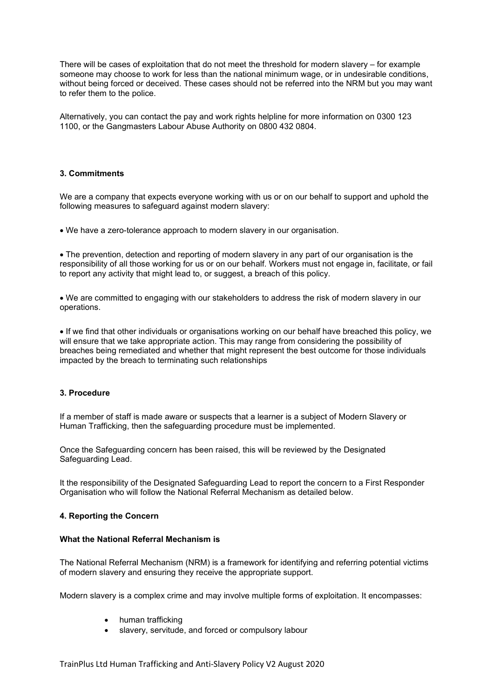There will be cases of exploitation that do not meet the threshold for modern slavery – for example someone may choose to work for less than the national minimum wage, or in undesirable conditions, without being forced or deceived. These cases should not be referred into the NRM but you may want to refer them to the police.

Alternatively, you can contact the pay and work rights helpline for more information on 0300 123 1100, or the Gangmasters Labour Abuse Authority on 0800 432 0804.

## 3. Commitments

We are a company that expects everyone working with us or on our behalf to support and uphold the following measures to safeguard against modern slavery:

We have a zero-tolerance approach to modern slavery in our organisation.

 The prevention, detection and reporting of modern slavery in any part of our organisation is the responsibility of all those working for us or on our behalf. Workers must not engage in, facilitate, or fail to report any activity that might lead to, or suggest, a breach of this policy.

 We are committed to engaging with our stakeholders to address the risk of modern slavery in our operations.

 If we find that other individuals or organisations working on our behalf have breached this policy, we will ensure that we take appropriate action. This may range from considering the possibility of breaches being remediated and whether that might represent the best outcome for those individuals impacted by the breach to terminating such relationships

#### 3. Procedure

If a member of staff is made aware or suspects that a learner is a subject of Modern Slavery or Human Trafficking, then the safeguarding procedure must be implemented.

Once the Safeguarding concern has been raised, this will be reviewed by the Designated Safeguarding Lead.

It the responsibility of the Designated Safeguarding Lead to report the concern to a First Responder Organisation who will follow the National Referral Mechanism as detailed below.

#### 4. Reporting the Concern

#### What the National Referral Mechanism is

The National Referral Mechanism (NRM) is a framework for identifying and referring potential victims of modern slavery and ensuring they receive the appropriate support.

Modern slavery is a complex crime and may involve multiple forms of exploitation. It encompasses:

- human trafficking
- slavery, servitude, and forced or compulsory labour

TrainPlus Ltd Human Trafficking and Anti-Slavery Policy V2 August 2020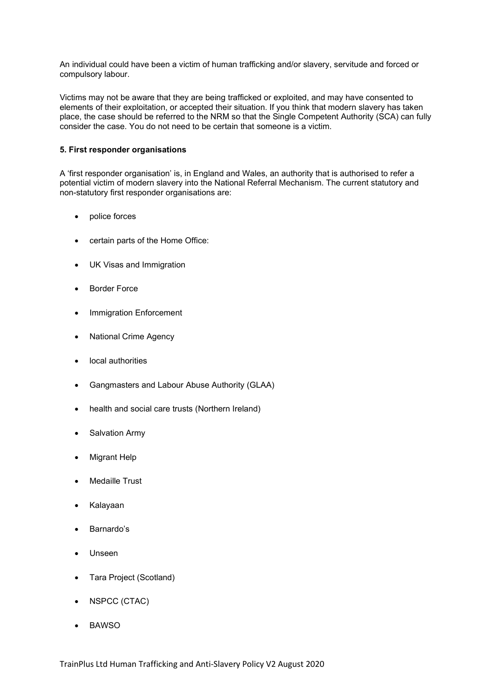An individual could have been a victim of human trafficking and/or slavery, servitude and forced or compulsory labour.

Victims may not be aware that they are being trafficked or exploited, and may have consented to elements of their exploitation, or accepted their situation. If you think that modern slavery has taken place, the case should be referred to the NRM so that the Single Competent Authority (SCA) can fully consider the case. You do not need to be certain that someone is a victim.

## 5. First responder organisations

A 'first responder organisation' is, in England and Wales, an authority that is authorised to refer a potential victim of modern slavery into the National Referral Mechanism. The current statutory and non-statutory first responder organisations are:

- police forces
- certain parts of the Home Office:
- UK Visas and Immigration
- Border Force
- Immigration Enforcement
- National Crime Agency
- local authorities
- Gangmasters and Labour Abuse Authority (GLAA)
- health and social care trusts (Northern Ireland)
- Salvation Army
- Migrant Help
- Medaille Trust
- Kalayaan
- Barnardo's
- Unseen
- Tara Project (Scotland)
- NSPCC (CTAC)
- BAWSO